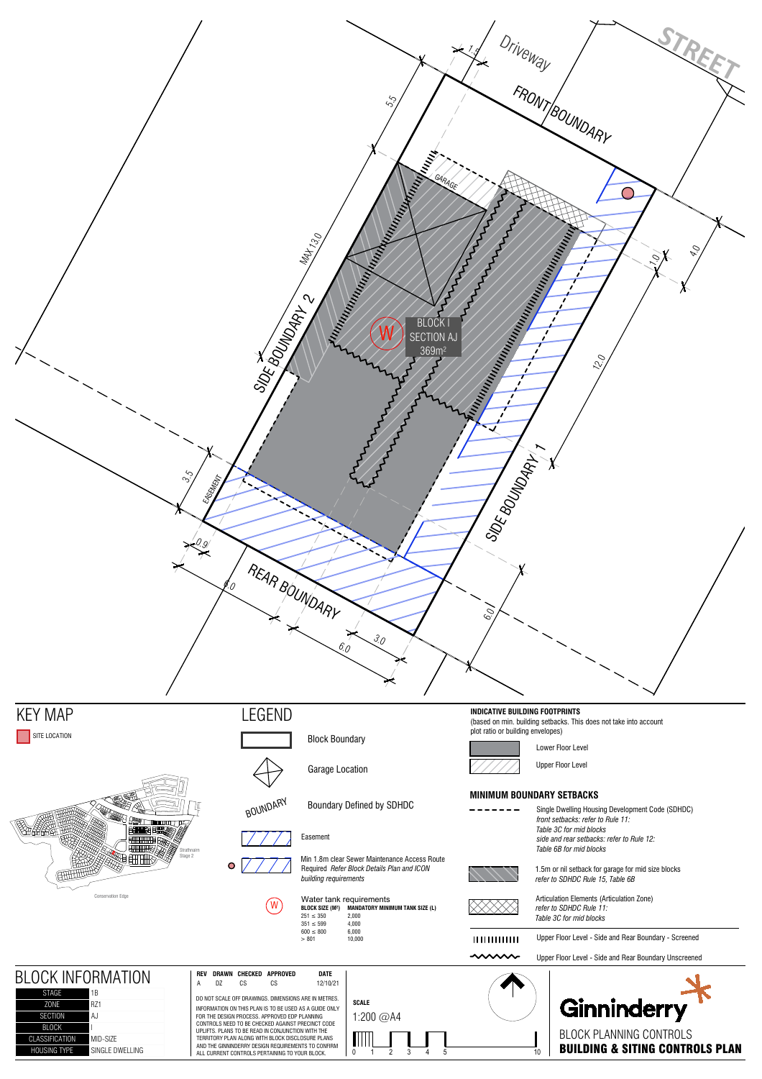